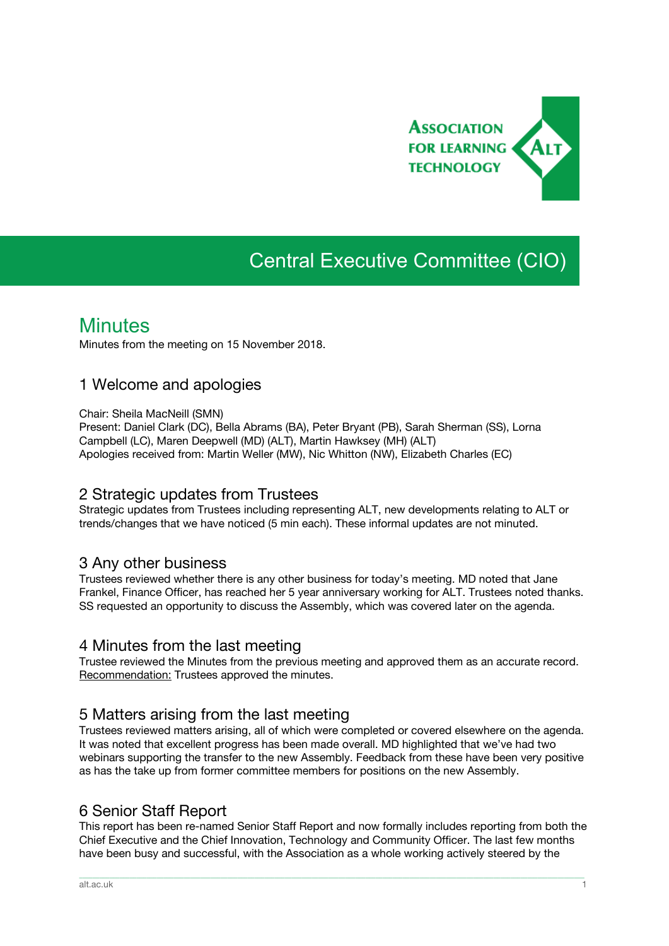

# Central Executive Committee (CIO)

## **Minutes**

Minutes from the meeting on 15 November 2018.

### 1 Welcome and apologies

Chair: Sheila MacNeill (SMN)

Present: Daniel Clark (DC), Bella Abrams (BA), Peter Bryant (PB), Sarah Sherman (SS), Lorna Campbell (LC), Maren Deepwell (MD) (ALT), Martin Hawksey (MH) (ALT) Apologies received from: Martin Weller (MW), Nic Whitton (NW), Elizabeth Charles (EC)

### 2 Strategic updates from Trustees

Strategic updates from Trustees including representing ALT, new developments relating to ALT or trends/changes that we have noticed (5 min each). These informal updates are not minuted.

### 3 Any other business

Trustees reviewed whether there is any other business for today's meeting. MD noted that Jane Frankel, Finance Officer, has reached her 5 year anniversary working for ALT. Trustees noted thanks. SS requested an opportunity to discuss the Assembly, which was covered later on the agenda.

### 4 Minutes from the last meeting

Trustee reviewed the Minutes from the previous meeting and approved them as an accurate record. Recommendation: Trustees approved the minutes.

### 5 Matters arising from the last meeting

Trustees reviewed matters arising, all of which were completed or covered elsewhere on the agenda. It was noted that excellent progress has been made overall. MD highlighted that we've had two webinars supporting the transfer to the new Assembly. Feedback from these have been very positive as has the take up from former committee members for positions on the new Assembly.

### 6 Senior Staff Report

This report has been re-named Senior Staff Report and now formally includes reporting from both the Chief Executive and the Chief Innovation, Technology and Community Officer. The last few months have been busy and successful, with the Association as a whole working actively steered by the

\_\_\_\_\_\_\_\_\_\_\_\_\_\_\_\_\_\_\_\_\_\_\_\_\_\_\_\_\_\_\_\_\_\_\_\_\_\_\_\_\_\_\_\_\_\_\_\_\_\_\_\_\_\_\_\_\_\_\_\_\_\_\_\_\_\_\_\_\_\_\_\_\_\_\_\_\_\_\_\_\_\_\_\_\_\_\_\_\_\_\_\_\_\_\_\_\_\_\_\_\_\_\_\_\_\_\_\_\_\_\_\_\_\_\_\_\_\_\_\_\_\_\_\_\_\_\_\_\_\_\_\_\_\_\_\_\_\_\_\_\_\_\_\_\_\_\_\_\_\_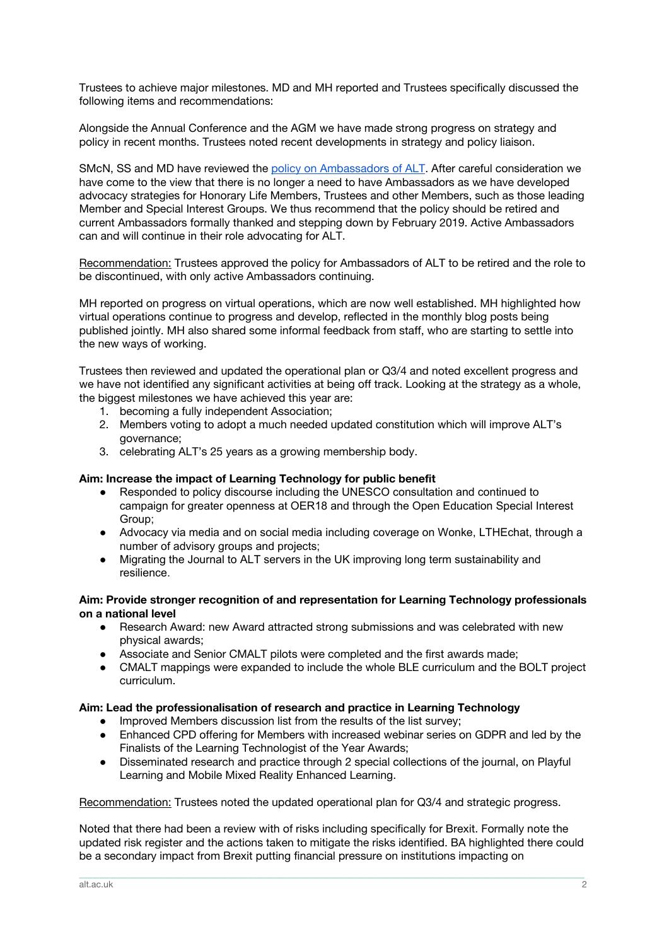Trustees to achieve major milestones. MD and MH reported and Trustees specifically discussed the following items and recommendations:

Alongside the Annual Conference and the AGM we have made strong progress on strategy and policy in recent months. Trustees noted recent developments in strategy and policy liaison.

SMcN, SS and MD have reviewed the policy on [Ambassadors](https://www.alt.ac.uk/about-alt/who-we-are/alt-ambassadors) of ALT. After careful consideration we have come to the view that there is no longer a need to have Ambassadors as we have developed advocacy strategies for Honorary Life Members, Trustees and other Members, such as those leading Member and Special Interest Groups. We thus recommend that the policy should be retired and current Ambassadors formally thanked and stepping down by February 2019. Active Ambassadors can and will continue in their role advocating for ALT.

Recommendation: Trustees approved the policy for Ambassadors of ALT to be retired and the role to be discontinued, with only active Ambassadors continuing.

MH reported on progress on virtual operations, which are now well established. MH highlighted how virtual operations continue to progress and develop, reflected in the monthly blog posts being published jointly. MH also shared some informal feedback from staff, who are starting to settle into the new ways of working.

Trustees then reviewed and updated the operational plan or Q3/4 and noted excellent progress and we have not identified any significant activities at being off track. Looking at the strategy as a whole, the biggest milestones we have achieved this year are:

- 1. becoming a fully independent Association;
- 2. Members voting to adopt a much needed updated constitution which will improve ALT's governance;
- 3. celebrating ALT's 25 years as a growing membership body.

#### **Aim: Increase the impact of Learning Technology for public benefit**

- Responded to policy discourse including the UNESCO consultation and continued to campaign for greater openness at OER18 and through the Open Education Special Interest Group;
- Advocacy via media and on social media including coverage on Wonke, LTHEchat, through a number of advisory groups and projects;
- Migrating the Journal to ALT servers in the UK improving long term sustainability and resilience.

#### **Aim: Provide stronger recognition of and representation for Learning Technology professionals on a national level**

- Research Award: new Award attracted strong submissions and was celebrated with new physical awards;
- Associate and Senior CMALT pilots were completed and the first awards made;
- CMALT mappings were expanded to include the whole BLE curriculum and the BOLT project curriculum.

#### **Aim: Lead the professionalisation of research and practice in Learning Technology**

- Improved Members discussion list from the results of the list survey;
- Enhanced CPD offering for Members with increased webinar series on GDPR and led by the Finalists of the Learning Technologist of the Year Awards;
- Disseminated research and practice through 2 special collections of the journal, on Playful Learning and Mobile Mixed Reality Enhanced Learning.

#### Recommendation: Trustees noted the updated operational plan for Q3/4 and strategic progress.

Noted that there had been a review with of risks including specifically for Brexit. Formally note the updated risk register and the actions taken to mitigate the risks identified. BA highlighted there could be a secondary impact from Brexit putting financial pressure on institutions impacting on

\_\_\_\_\_\_\_\_\_\_\_\_\_\_\_\_\_\_\_\_\_\_\_\_\_\_\_\_\_\_\_\_\_\_\_\_\_\_\_\_\_\_\_\_\_\_\_\_\_\_\_\_\_\_\_\_\_\_\_\_\_\_\_\_\_\_\_\_\_\_\_\_\_\_\_\_\_\_\_\_\_\_\_\_\_\_\_\_\_\_\_\_\_\_\_\_\_\_\_\_\_\_\_\_\_\_\_\_\_\_\_\_\_\_\_\_\_\_\_\_\_\_\_\_\_\_\_\_\_\_\_\_\_\_\_\_\_\_\_\_\_\_\_\_\_\_\_\_\_\_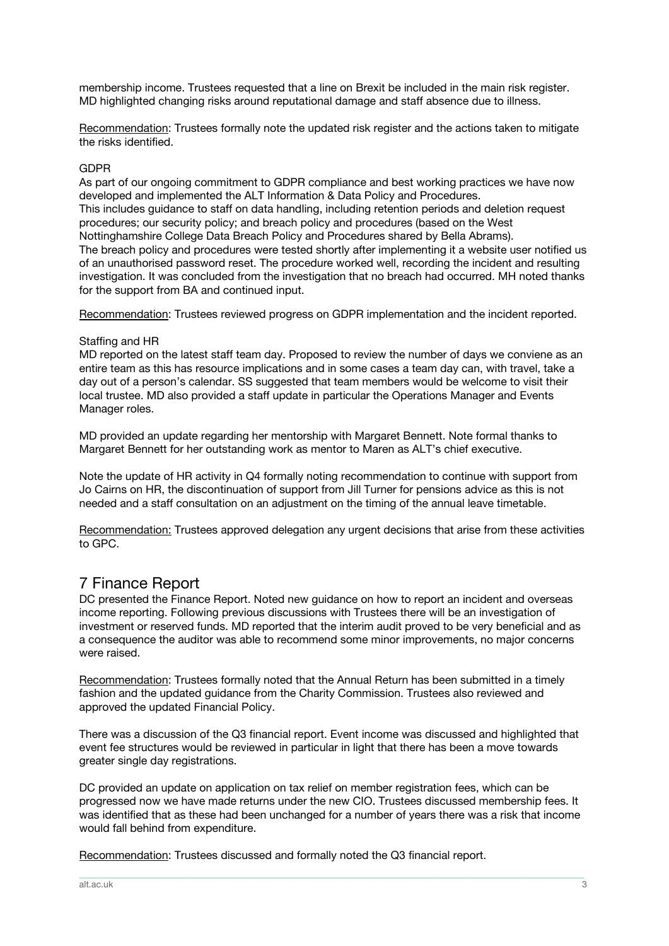membership income. Trustees requested that a line on Brexit be included in the main risk register. MD highlighted changing risks around reputational damage and staff absence due to illness.

Recommendation: Trustees formally note the updated risk register and the actions taken to mitigate the risks identified.

#### GDPR

As part of our ongoing commitment to GDPR compliance and best working practices we have now developed and implemented the ALT Information & Data Policy and Procedures. This includes guidance to staff on data handling, including retention periods and deletion request procedures; our security policy; and breach policy and procedures (based on the West Nottinghamshire College Data Breach Policy and Procedures shared by Bella Abrams). The breach policy and procedures were tested shortly after implementing it a website user notified us of an unauthorised password reset. The procedure worked well, recording the incident and resulting investigation. It was concluded from the investigation that no breach had occurred. MH noted thanks for the support from BA and continued input.

Recommendation: Trustees reviewed progress on GDPR implementation and the incident reported.

#### Staffing and HR

MD reported on the latest staff team day. Proposed to review the number of days we conviene as an entire team as this has resource implications and in some cases a team day can, with travel, take a day out of a person's calendar. SS suggested that team members would be welcome to visit their local trustee. MD also provided a staff update in particular the Operations Manager and Events Manager roles.

MD provided an update regarding her mentorship with Margaret Bennett. Note formal thanks to Margaret Bennett for her outstanding work as mentor to Maren as ALT's chief executive.

Note the update of HR activity in Q4 formally noting recommendation to continue with support from Jo Cairns on HR, the discontinuation of support from Jill Turner for pensions advice as this is not needed and a staff consultation on an adjustment on the timing of the annual leave timetable.

Recommendation: Trustees approved delegation any urgent decisions that arise from these activities to GPC.

### 7 Finance Report

DC presented the Finance Report. Noted new guidance on how to report an incident and overseas income reporting. Following previous discussions with Trustees there will be an investigation of investment or reserved funds. MD reported that the interim audit proved to be very beneficial and as a consequence the auditor was able to recommend some minor improvements, no major concerns were raised.

Recommendation: Trustees formally noted that the Annual Return has been submitted in a timely fashion and the updated guidance from the Charity Commission. Trustees also reviewed and approved the updated Financial Policy.

There was a discussion of the Q3 financial report. Event income was discussed and highlighted that event fee structures would be reviewed in particular in light that there has been a move towards greater single day registrations.

DC provided an update on application on tax relief on member registration fees, which can be progressed now we have made returns under the new CIO. Trustees discussed membership fees. It was identified that as these had been unchanged for a number of years there was a risk that income would fall behind from expenditure.

\_\_\_\_\_\_\_\_\_\_\_\_\_\_\_\_\_\_\_\_\_\_\_\_\_\_\_\_\_\_\_\_\_\_\_\_\_\_\_\_\_\_\_\_\_\_\_\_\_\_\_\_\_\_\_\_\_\_\_\_\_\_\_\_\_\_\_\_\_\_\_\_\_\_\_\_\_\_\_\_\_\_\_\_\_\_\_\_\_\_\_\_\_\_\_\_\_\_\_\_\_\_\_\_\_\_\_\_\_\_\_\_\_\_\_\_\_\_\_\_\_\_\_\_\_\_\_\_\_\_\_\_\_\_\_\_\_\_\_\_\_\_\_\_\_\_\_\_\_\_

Recommendation: Trustees discussed and formally noted the Q3 financial report.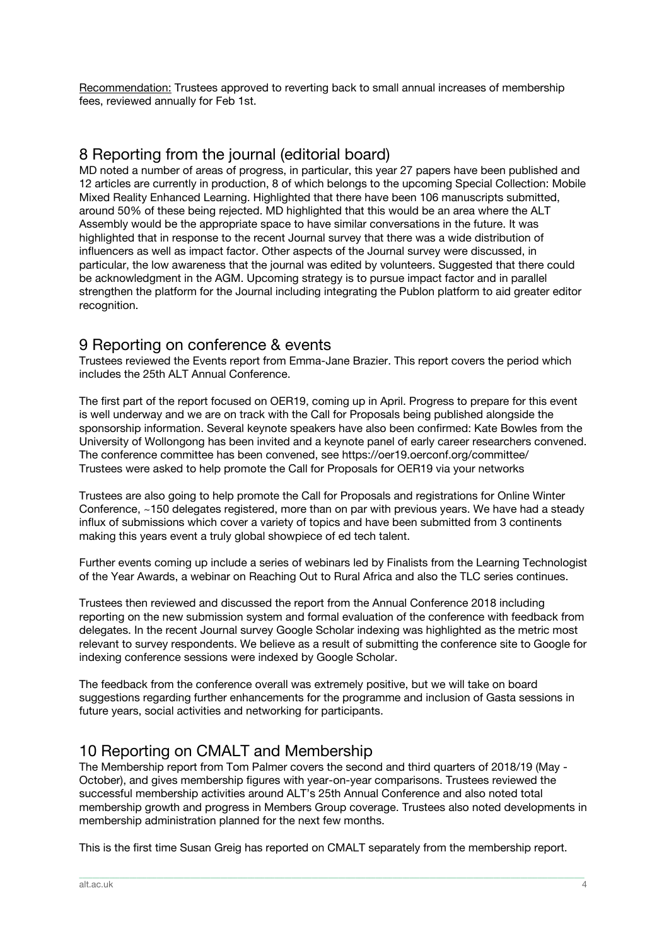Recommendation: Trustees approved to reverting back to small annual increases of membership fees, reviewed annually for Feb 1st.

### 8 Reporting from the journal (editorial board)

MD noted a number of areas of progress, in particular, this year 27 papers have been published and 12 articles are currently in production, 8 of which belongs to the upcoming Special Collection: Mobile Mixed Reality Enhanced Learning. Highlighted that there have been 106 manuscripts submitted, around 50% of these being rejected. MD highlighted that this would be an area where the ALT Assembly would be the appropriate space to have similar conversations in the future. It was highlighted that in response to the recent Journal survey that there was a wide distribution of influencers as well as impact factor. Other aspects of the Journal survey were discussed, in particular, the low awareness that the journal was edited by volunteers. Suggested that there could be acknowledgment in the AGM. Upcoming strategy is to pursue impact factor and in parallel strengthen the platform for the Journal including integrating the Publon platform to aid greater editor recognition.

### 9 Reporting on conference & events

Trustees reviewed the Events report from Emma-Jane Brazier. This report covers the period which includes the 25th ALT Annual Conference.

The first part of the report focused on OER19, coming up in April. Progress to prepare for this event is well underway and we are on track with the Call for Proposals being published alongside the sponsorship information. Several keynote speakers have also been confirmed: Kate Bowles from the University of Wollongong has been invited and a keynote panel of early career researchers convened. The conference committee has been convened, see https://oer19.oerconf.org/committee/ Trustees were asked to help promote the Call for Proposals for OER19 via your networks

Trustees are also going to help promote the Call for Proposals and registrations for Online Winter Conference, ~150 delegates registered, more than on par with previous years. We have had a steady influx of submissions which cover a variety of topics and have been submitted from 3 continents making this years event a truly global showpiece of ed tech talent.

Further events coming up include a series of webinars led by Finalists from the Learning Technologist of the Year Awards, a webinar on Reaching Out to Rural Africa and also the TLC series continues.

Trustees then reviewed and discussed the report from the Annual Conference 2018 including reporting on the new submission system and formal evaluation of the conference with feedback from delegates. In the recent Journal survey Google Scholar indexing was highlighted as the metric most relevant to survey respondents. We believe as a result of submitting the conference site to Google for indexing conference sessions were indexed by Google Scholar.

The feedback from the conference overall was extremely positive, but we will take on board suggestions regarding further enhancements for the programme and inclusion of Gasta sessions in future years, social activities and networking for participants.

### 10 Reporting on CMALT and Membership

The Membership report from Tom Palmer covers the second and third quarters of 2018/19 (May - October), and gives membership figures with year-on-year comparisons. Trustees reviewed the successful membership activities around ALT's 25th Annual Conference and also noted total membership growth and progress in Members Group coverage. Trustees also noted developments in membership administration planned for the next few months.

This is the first time Susan Greig has reported on CMALT separately from the membership report.